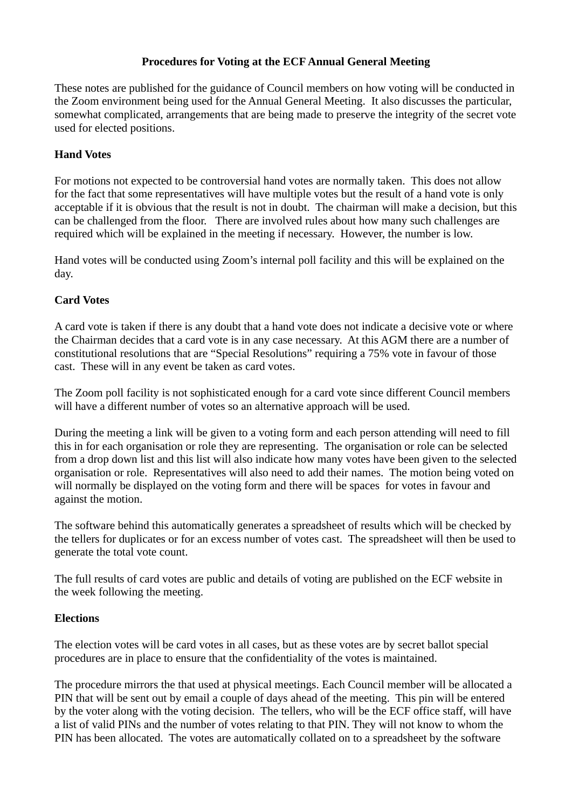## **Procedures for Voting at the ECF Annual General Meeting**

These notes are published for the guidance of Council members on how voting will be conducted in the Zoom environment being used for the Annual General Meeting. It also discusses the particular, somewhat complicated, arrangements that are being made to preserve the integrity of the secret vote used for elected positions.

## **Hand Votes**

For motions not expected to be controversial hand votes are normally taken. This does not allow for the fact that some representatives will have multiple votes but the result of a hand vote is only acceptable if it is obvious that the result is not in doubt. The chairman will make a decision, but this can be challenged from the floor. There are involved rules about how many such challenges are required which will be explained in the meeting if necessary. However, the number is low.

Hand votes will be conducted using Zoom's internal poll facility and this will be explained on the day.

## **Card Votes**

A card vote is taken if there is any doubt that a hand vote does not indicate a decisive vote or where the Chairman decides that a card vote is in any case necessary. At this AGM there are a number of constitutional resolutions that are "Special Resolutions" requiring a 75% vote in favour of those cast. These will in any event be taken as card votes.

The Zoom poll facility is not sophisticated enough for a card vote since different Council members will have a different number of votes so an alternative approach will be used.

During the meeting a link will be given to a voting form and each person attending will need to fill this in for each organisation or role they are representing. The organisation or role can be selected from a drop down list and this list will also indicate how many votes have been given to the selected organisation or role. Representatives will also need to add their names. The motion being voted on will normally be displayed on the voting form and there will be spaces for votes in favour and against the motion.

The software behind this automatically generates a spreadsheet of results which will be checked by the tellers for duplicates or for an excess number of votes cast. The spreadsheet will then be used to generate the total vote count.

The full results of card votes are public and details of voting are published on the ECF website in the week following the meeting.

## **Elections**

The election votes will be card votes in all cases, but as these votes are by secret ballot special procedures are in place to ensure that the confidentiality of the votes is maintained.

The procedure mirrors the that used at physical meetings. Each Council member will be allocated a PIN that will be sent out by email a couple of days ahead of the meeting. This pin will be entered by the voter along with the voting decision. The tellers, who will be the ECF office staff, will have a list of valid PINs and the number of votes relating to that PIN. They will not know to whom the PIN has been allocated. The votes are automatically collated on to a spreadsheet by the software